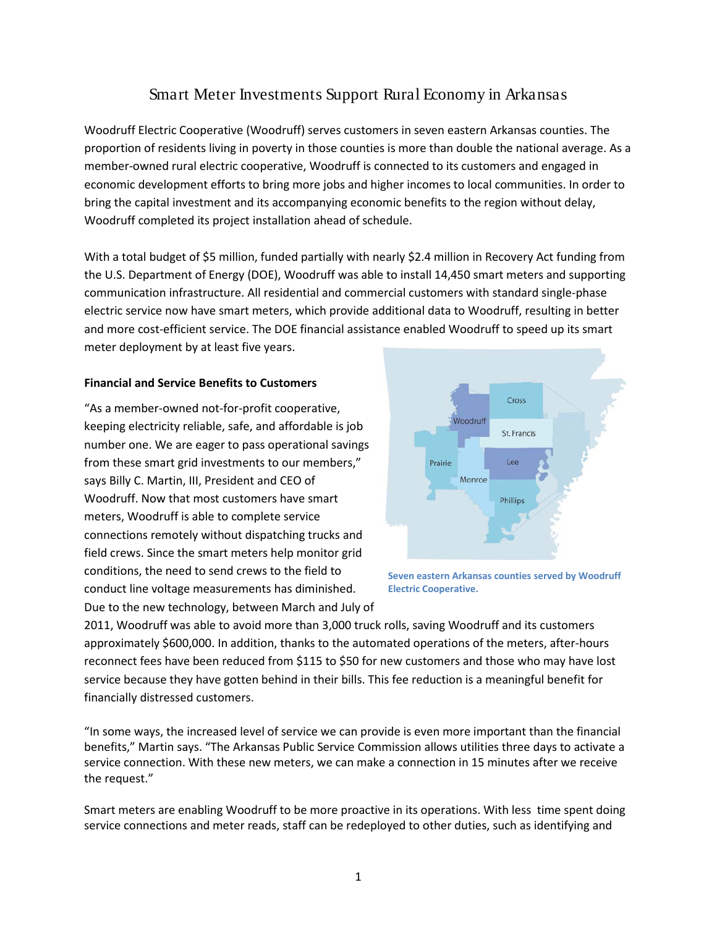## Smart Meter Investments Support Rural Economy in Arkansas

Woodruff Electric Cooperative (Woodruff) serves customers in seven eastern Arkansas counties. The proportion of residents living in poverty in those counties is more than double the national average. As a member-owned rural electric cooperative, Woodruff is connected to its customers and engaged in economic development efforts to bring more jobs and higher incomes to local communities. In order to bring the capital investment and its accompanying economic benefits to the region without delay, Woodruff completed its project installation ahead of schedule.

With a total budget of \$5 million, funded partially with nearly \$2.4 million in Recovery Act funding from the U.S. Department of Energy (DOE), Woodruff was able to install 14,450 smart meters and supporting communication infrastructure. All residential and commercial customers with standard single-phase electric service now have smart meters, which provide additional data to Woodruff, resulting in better and more cost-efficient service. The DOE financial assistance enabled Woodruff to speed up its smart meter deployment by at least five years.

## **Financial and Service Benefits to Customers**

"As a member-owned not-for-profit cooperative, keeping electricity reliable, safe, and affordable is job number one. We are eager to pass operational savings from these smart grid investments to our members," says Billy C. Martin, III, President and CEO of Woodruff. Now that most customers have smart meters, Woodruff is able to complete service connections remotely without dispatching trucks and field crews. Since the smart meters help monitor grid conditions, the need to send crews to the field to conduct line voltage measurements has diminished. Due to the new technology, between March and July of





2011, Woodruff was able to avoid more than 3,000 truck rolls, saving Woodruff and its customers approximately \$600,000. In addition, thanks to the automated operations of the meters, after-hours reconnect fees have been reduced from \$115 to \$50 for new customers and those who may have lost service because they have gotten behind in their bills. This fee reduction is a meaningful benefit for financially distressed customers.

"In some ways, the increased level of service we can provide is even more important than the financial benefits," Martin says. "The Arkansas Public Service Commission allows utilities three days to activate a service connection. With these new meters, we can make a connection in 15 minutes after we receive the request."

Smart meters are enabling Woodruff to be more proactive in its operations. With less time spent doing service connections and meter reads, staff can be redeployed to other duties, such as identifying and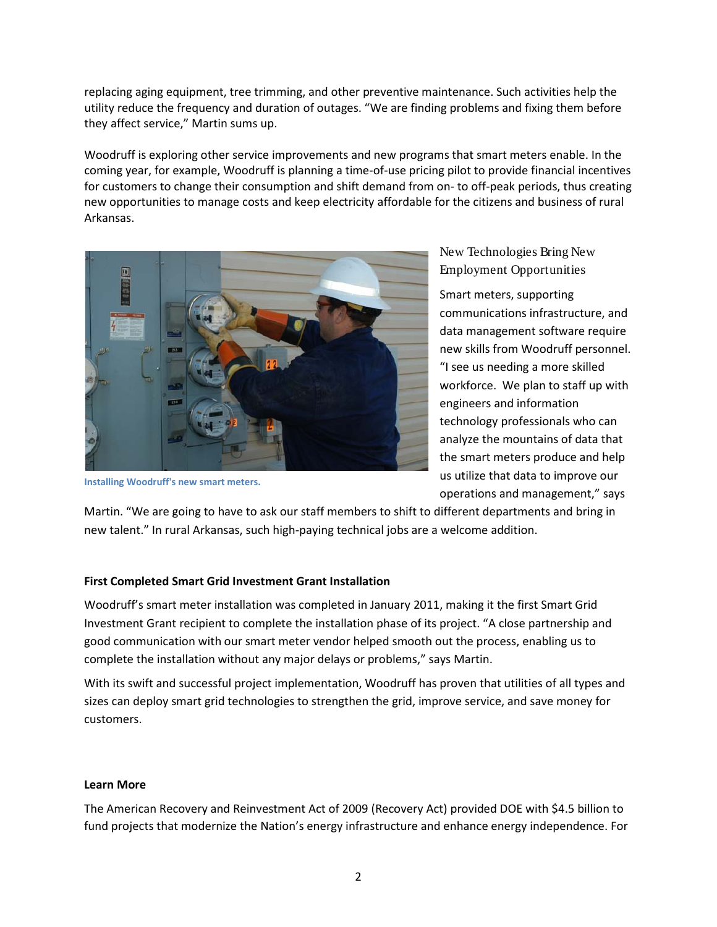replacing aging equipment, tree trimming, and other preventive maintenance. Such activities help the utility reduce the frequency and duration of outages. "We are finding problems and fixing them before they affect service," Martin sums up.

Woodruff is exploring other service improvements and new programs that smart meters enable. In the coming year, for example, Woodruff is planning a time-of-use pricing pilot to provide financial incentives for customers to change their consumption and shift demand from on- to off-peak periods, thus creating new opportunities to manage costs and keep electricity affordable for the citizens and business of rural Arkansas.



**Installing Woodruff's new smart meters.**

New Technologies Bring New Employment Opportunities

Smart meters, supporting communications infrastructure, and data management software require new skills from Woodruff personnel. "I see us needing a more skilled workforce. We plan to staff up with engineers and information technology professionals who can analyze the mountains of data that the smart meters produce and help us utilize that data to improve our operations and management," says

Martin. "We are going to have to ask our staff members to shift to different departments and bring in new talent." In rural Arkansas, such high-paying technical jobs are a welcome addition.

## **First Completed Smart Grid Investment Grant Installation**

Woodruff's smart meter installation was completed in January 2011, making it the first Smart Grid Investment Grant recipient to complete the installation phase of its project. "A close partnership and good communication with our smart meter vendor helped smooth out the process, enabling us to complete the installation without any major delays or problems," says Martin.

With its swift and successful project implementation, Woodruff has proven that utilities of all types and sizes can deploy smart grid technologies to strengthen the grid, improve service, and save money for customers.

## **Learn More**

The American Recovery and Reinvestment Act of 2009 (Recovery Act) provided DOE with \$4.5 billion to fund projects that modernize the Nation's energy infrastructure and enhance energy independence. For